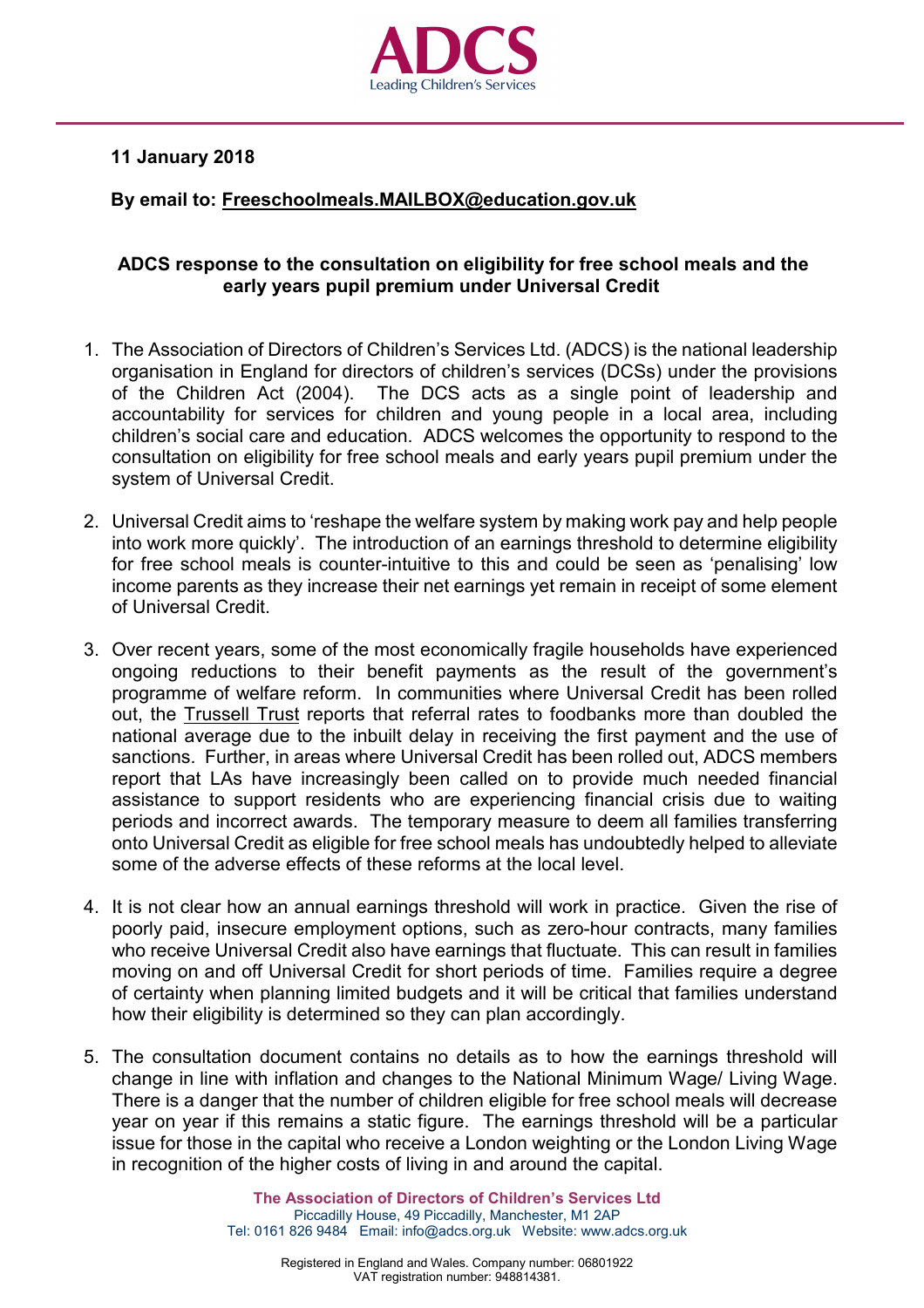

## **11 January 2018**

## **By email to: [Freeschoolmeals.MAILBOX@education.gov.uk](mailto:Freeschoolmeals.MAILBOX@education.gov.uk)**

## **ADCS response to the consultation on eligibility for free school meals and the early years pupil premium under Universal Credit**

- 1. The Association of Directors of Children's Services Ltd. (ADCS) is the national leadership organisation in England for directors of children's services (DCSs) under the provisions of the Children Act (2004). The DCS acts as a single point of leadership and accountability for services for children and young people in a local area, including children's social care and education. ADCS welcomes the opportunity to respond to the consultation on eligibility for free school meals and early years pupil premium under the system of Universal Credit.
- 2. Universal Credit aims to 'reshape the welfare system by making work pay and help people into work more quickly'. The introduction of an earnings threshold to determine eligibility for free school meals is counter-intuitive to this and could be seen as 'penalising' low income parents as they increase their net earnings yet remain in receipt of some element of Universal Credit.
- 3. Over recent years, some of the most economically fragile households have experienced ongoing reductions to their benefit payments as the result of the government's programme of welfare reform. In communities where Universal Credit has been rolled out, the [Trussell](https://www.trusselltrust.org/wp-content/uploads/sites/2/2017/04/Early-Warnings-Universal-Credit-and-Foodbanks.pdf) Trust reports that referral rates to foodbanks more than doubled the national average due to the inbuilt delay in receiving the first payment and the use of sanctions. Further, in areas where Universal Credit has been rolled out, ADCS members report that LAs have increasingly been called on to provide much needed financial assistance to support residents who are experiencing financial crisis due to waiting periods and incorrect awards. The temporary measure to deem all families transferring onto Universal Credit as eligible for free school meals has undoubtedly helped to alleviate some of the adverse effects of these reforms at the local level.
- 4. It is not clear how an annual earnings threshold will work in practice. Given the rise of poorly paid, insecure employment options, such as zero-hour contracts, many families who receive Universal Credit also have earnings that fluctuate. This can result in families moving on and off Universal Credit for short periods of time. Families require a degree of certainty when planning limited budgets and it will be critical that families understand how their eligibility is determined so they can plan accordingly.
- 5. The consultation document contains no details as to how the earnings threshold will change in line with inflation and changes to the National Minimum Wage/ Living Wage. There is a danger that the number of children eligible for free school meals will decrease year on year if this remains a static figure. The earnings threshold will be a particular issue for those in the capital who receive a London weighting or the London Living Wage in recognition of the higher costs of living in and around the capital.